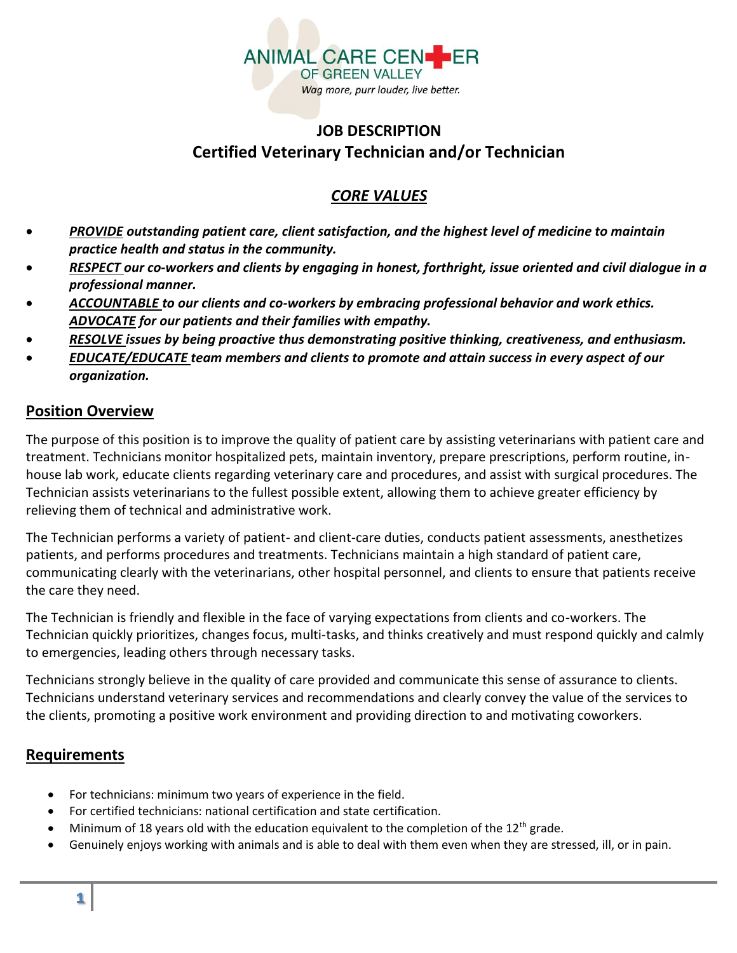

# **JOB DESCRIPTION Certified Veterinary Technician and/or Technician**

## *CORE VALUES*

- *PROVIDE outstanding patient care, client satisfaction, and the highest level of medicine to maintain practice health and status in the community.*
- *RESPECT our co-workers and clients by engaging in honest, forthright, issue oriented and civil dialogue in a professional manner.*
- *ACCOUNTABLE to our clients and co-workers by embracing professional behavior and work ethics. ADVOCATE for our patients and their families with empathy.*
- *RESOLVE issues by being proactive thus demonstrating positive thinking, creativeness, and enthusiasm.*
- *EDUCATE/EDUCATE team members and clients to promote and attain success in every aspect of our organization.*

### **Position Overview**

The purpose of this position is to improve the quality of patient care by assisting veterinarians with patient care and treatment. Technicians monitor hospitalized pets, maintain inventory, prepare prescriptions, perform routine, inhouse lab work, educate clients regarding veterinary care and procedures, and assist with surgical procedures. The Technician assists veterinarians to the fullest possible extent, allowing them to achieve greater efficiency by relieving them of technical and administrative work.

The Technician performs a variety of patient- and client-care duties, conducts patient assessments, anesthetizes patients, and performs procedures and treatments. Technicians maintain a high standard of patient care, communicating clearly with the veterinarians, other hospital personnel, and clients to ensure that patients receive the care they need.

The Technician is friendly and flexible in the face of varying expectations from clients and co-workers. The Technician quickly prioritizes, changes focus, multi-tasks, and thinks creatively and must respond quickly and calmly to emergencies, leading others through necessary tasks.

Technicians strongly believe in the quality of care provided and communicate this sense of assurance to clients. Technicians understand veterinary services and recommendations and clearly convey the value of the services to the clients, promoting a positive work environment and providing direction to and motivating coworkers.

## **Requirements**

- For technicians: minimum two years of experience in the field.
- For certified technicians: national certification and state certification.
- Minimum of 18 years old with the education equivalent to the completion of the  $12<sup>th</sup>$  grade.
- Genuinely enjoys working with animals and is able to deal with them even when they are stressed, ill, or in pain.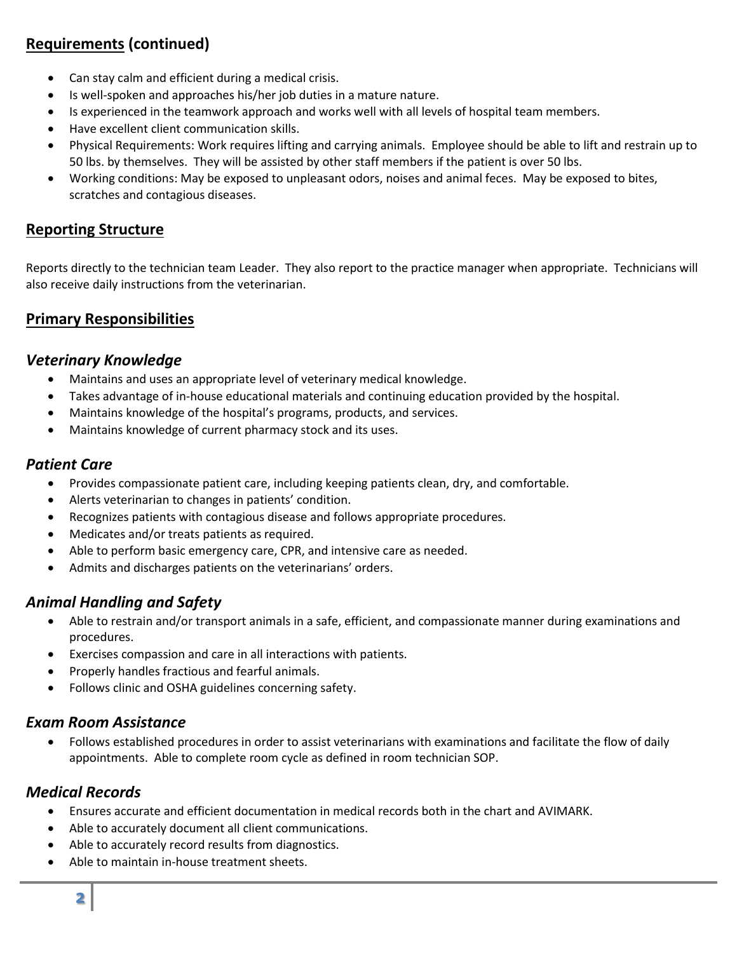# **Requirements (continued)**

- Can stay calm and efficient during a medical crisis.
- Is well-spoken and approaches his/her job duties in a mature nature.
- Is experienced in the teamwork approach and works well with all levels of hospital team members.
- Have excellent client communication skills.
- Physical Requirements: Work requires lifting and carrying animals. Employee should be able to lift and restrain up to 50 lbs. by themselves. They will be assisted by other staff members if the patient is over 50 lbs.
- Working conditions: May be exposed to unpleasant odors, noises and animal feces. May be exposed to bites, scratches and contagious diseases.

### **Reporting Structure**

Reports directly to the technician team Leader. They also report to the practice manager when appropriate. Technicians will also receive daily instructions from the veterinarian.

### **Primary Responsibilities**

#### *Veterinary Knowledge*

- Maintains and uses an appropriate level of veterinary medical knowledge.
- Takes advantage of in-house educational materials and continuing education provided by the hospital.
- Maintains knowledge of the hospital's programs, products, and services.
- Maintains knowledge of current pharmacy stock and its uses.

#### *Patient Care*

- Provides compassionate patient care, including keeping patients clean, dry, and comfortable.
- Alerts veterinarian to changes in patients' condition.
- Recognizes patients with contagious disease and follows appropriate procedures.
- Medicates and/or treats patients as required.
- Able to perform basic emergency care, CPR, and intensive care as needed.
- Admits and discharges patients on the veterinarians' orders.

### *Animal Handling and Safety*

- Able to restrain and/or transport animals in a safe, efficient, and compassionate manner during examinations and procedures.
- Exercises compassion and care in all interactions with patients.
- Properly handles fractious and fearful animals.
- Follows clinic and OSHA guidelines concerning safety.

#### *Exam Room Assistance*

• Follows established procedures in order to assist veterinarians with examinations and facilitate the flow of daily appointments. Able to complete room cycle as defined in room technician SOP.

#### *Medical Records*

- Ensures accurate and efficient documentation in medical records both in the chart and AVIMARK.
- Able to accurately document all client communications.
- Able to accurately record results from diagnostics.
- Able to maintain in-house treatment sheets.